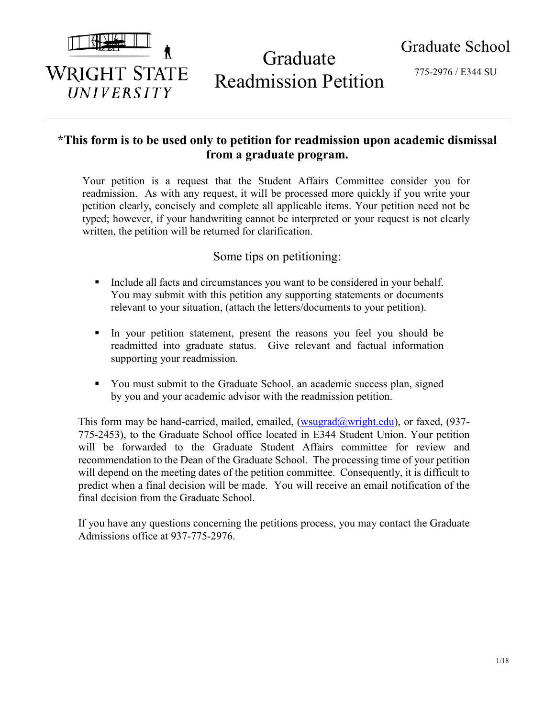

# Graduate Readmission Petition

775-2976 / E344 SU

# **\*This form is to be used only to petition for readmission upon academic dismissal from a graduate program.**

Your petition is a request that the Student Affairs Committee consider you for readmission. As with any request, it will be processed more quickly if you write your petition clearly, concisely and complete all applicable items. Your petition need not be typed; however, if your handwriting cannot be interpreted or your request is not clearly written, the petition will be returned for clarification.

## Some tips on petitioning:

- Include all facts and circumstances you want to be considered in your behalf. You may submit with this petition any supporting statements or documents relevant to your situation, (attach the letters/documents to your petition).
- In your petition statement, present the reasons you feel you should be readmitted into graduate status. Give relevant and factual information supporting your readmission.
- You must submit to the Graduate School, an academic success plan, signed by you and your academic advisor with the readmission petition.

This form may be hand-carried, mailed, emailed,  $(wsugrad@wright.edu)$ , or faxed, (937-775-2453), to the Graduate School office located in E344 Student Union. Your petition will be forwarded to the Graduate Student Affairs committee for review and recommendation to the Dean of the Graduate School. The processing time of your petition will depend on the meeting dates of the petition committee. Consequently, it is difficult to predict when a final decision will be made. You will receive an email notification of the final decision from the Graduate School.

If you have any questions concerning the petitions process, you may contact the Graduate Admissions office at 937-775-2976.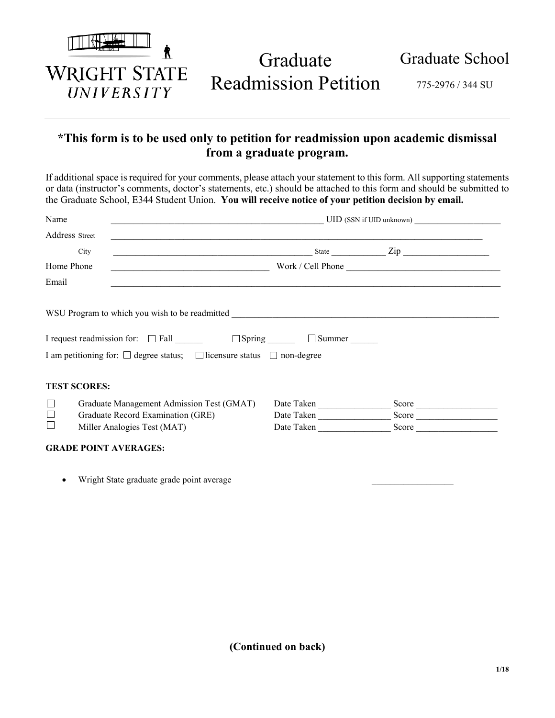

Graduate Readmission Petition

775-2976 / 344 SU

# **\*This form is to be used only to petition for readmission upon academic dismissal from a graduate program.**

If additional space is required for your comments, please attach your statement to this form. All supporting statements or data (instructor's comments, doctor's statements, etc.) should be attached to this form and should be submitted to the Graduate School, E344 Student Union. **You will receive notice of your petition decision by email.**

| Name           |                                                                                       |            | UID (SSN if UID unknown) |  |
|----------------|---------------------------------------------------------------------------------------|------------|--------------------------|--|
| Address Street |                                                                                       |            |                          |  |
|                | $\frac{1}{\text{State}}$ $\frac{1}{\text{Type}}$ $\frac{1}{\text{Type}}$<br>City      |            |                          |  |
| Home Phone     |                                                                                       |            |                          |  |
| Email          | <u> 1980 - Johann Stoff, Amerikaansk politiker (d. 1980)</u>                          |            |                          |  |
|                |                                                                                       |            |                          |  |
|                | I request readmission for: □ Fall ________ □ Spring ______ □ Summer ______            |            |                          |  |
|                | I am petitioning for: $\Box$ degree status; $\Box$ licensure status $\Box$ non-degree |            |                          |  |
|                | <b>TEST SCORES:</b>                                                                   |            |                          |  |
| $\Box$         | Graduate Management Admission Test (GMAT)                                             | Date Taken |                          |  |
| $\Box$         | Graduate Record Examination (GRE)                                                     | Date Taken | Score                    |  |
| $\Box$         | Miller Analogies Test (MAT)                                                           | Date Taken | Score                    |  |
|                | <b>GRADE POINT AVERAGES:</b>                                                          |            |                          |  |
|                |                                                                                       |            |                          |  |

Wright State graduate grade point average

**(Continued on back)**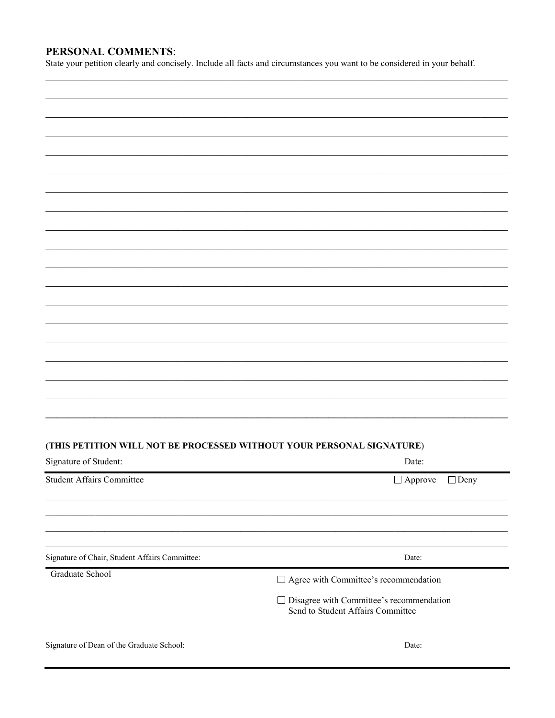### PERSONAL COMMENTS:

State your petition clearly and concisely. Include all facts and circumstances you want to be considered in your behalf.

#### (THIS PETITION WILL NOT BE PROCESSED WITHOUT YOUR PERSONAL SIGNATURE)

| Signature of Student:                          | Date:                                                                                |
|------------------------------------------------|--------------------------------------------------------------------------------------|
| <b>Student Affairs Committee</b>               | $\Box$ Deny<br>$\Box$ Approve                                                        |
|                                                |                                                                                      |
|                                                |                                                                                      |
| Signature of Chair, Student Affairs Committee: | Date:                                                                                |
| Graduate School                                | $\Box$ Agree with Committee's recommendation                                         |
|                                                | $\Box$ Disagree with Committee's recommendation<br>Send to Student Affairs Committee |
| Signature of Dean of the Graduate School:      | Date:                                                                                |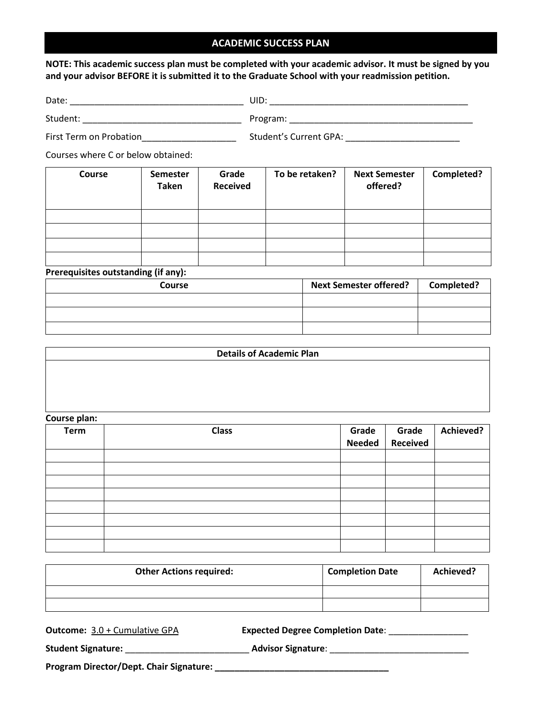#### **ACADEMIC SUCCESS PLAN**

**NOTE: This academic success plan must be completed with your academic advisor. It must be signed by you and your advisor BEFORE it is submitted it to the Graduate School with your readmission petition.**

| First Term on Probation<br>First Term on Probation |                          |                          |                |                                  |            |  |  |  |
|----------------------------------------------------|--------------------------|--------------------------|----------------|----------------------------------|------------|--|--|--|
| Courses where C or below obtained:                 |                          |                          |                |                                  |            |  |  |  |
| Course                                             | <b>Semester</b><br>Taken | Grade<br><b>Received</b> | To be retaken? | <b>Next Semester</b><br>offered? | Completed? |  |  |  |
|                                                    |                          |                          |                |                                  |            |  |  |  |
| Prerequisites outstanding (if any):                |                          |                          |                |                                  |            |  |  |  |
|                                                    | Course                   |                          |                | <b>Next Semester offered?</b>    | Completed? |  |  |  |

| <b>Course</b> | <b>Next Semester offered?</b> | Completed? |
|---------------|-------------------------------|------------|
|               |                               |            |
|               |                               |            |
|               |                               |            |

| <b>Details of Academic Plan</b> |
|---------------------------------|
|                                 |
|                                 |
|                                 |
|                                 |

| Course plan: |              |               |                 |           |
|--------------|--------------|---------------|-----------------|-----------|
| Term         | <b>Class</b> | Grade         | Grade           | Achieved? |
|              |              | <b>Needed</b> | <b>Received</b> |           |
|              |              |               |                 |           |
|              |              |               |                 |           |
|              |              |               |                 |           |
|              |              |               |                 |           |
|              |              |               |                 |           |
|              |              |               |                 |           |
|              |              |               |                 |           |
|              |              |               |                 |           |

| <b>Other Actions required:</b> | <b>Completion Date</b> | Achieved? |
|--------------------------------|------------------------|-----------|
|                                |                        |           |
|                                |                        |           |

| <b>Outcome:</b> 3.0 + Cumulative GPA    | <b>Expected Degree Completion Date:</b> |
|-----------------------------------------|-----------------------------------------|
| <b>Student Signature:</b>               | <b>Advisor Signature:</b>               |
| Program Director/Dept. Chair Signature: |                                         |